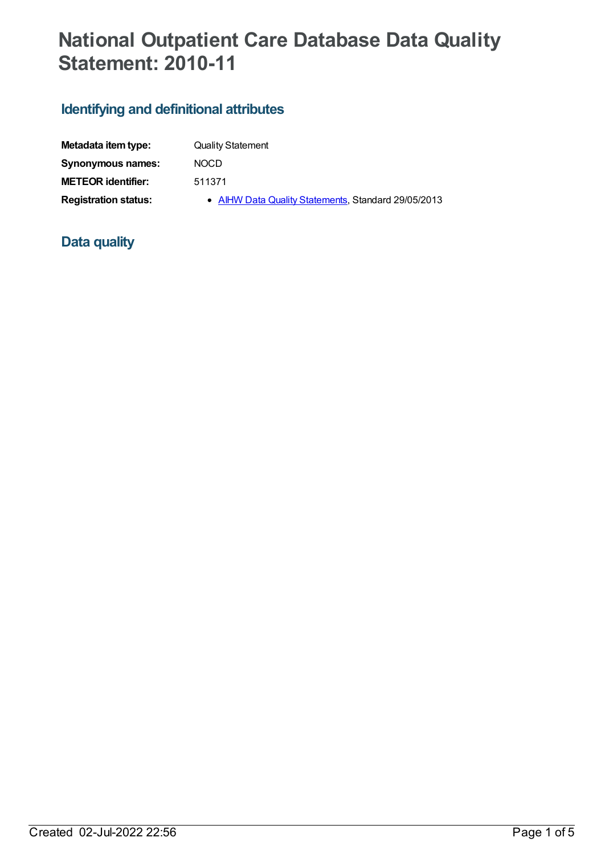## **National Outpatient Care Database Data Quality Statement: 2010-11**

## **Identifying and definitional attributes**

| Metadata item type:         | <b>Quality Statement</b>                            |
|-----------------------------|-----------------------------------------------------|
| <b>Synonymous names:</b>    | <b>NOCD</b>                                         |
| <b>METEOR</b> identifier:   | 511371                                              |
| <b>Registration status:</b> | • AIHW Data Quality Statements, Standard 29/05/2013 |

## **Data quality**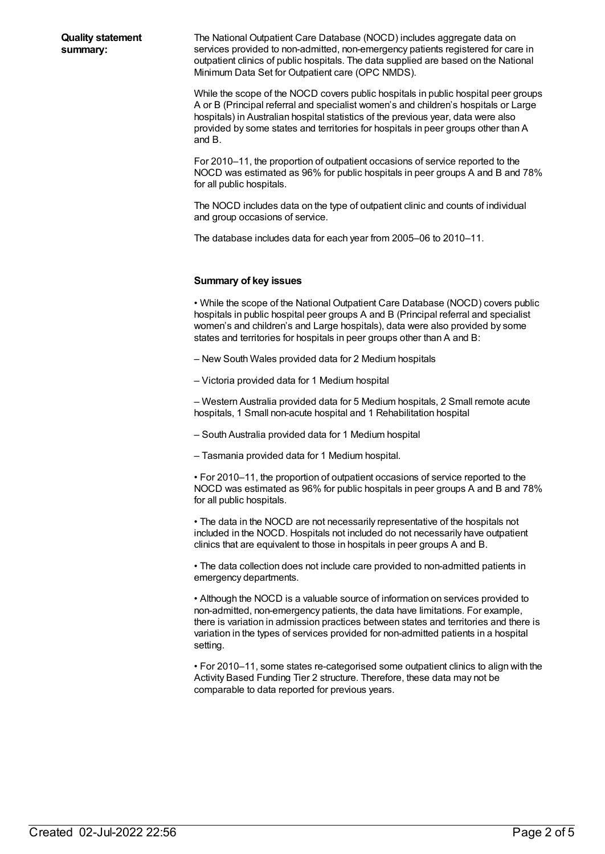The National Outpatient Care Database (NOCD) includes aggregate data on services provided to non-admitted, non-emergency patients registered for care in outpatient clinics of public hospitals. The data supplied are based on the National Minimum Data Set for Outpatient care (OPC NMDS).

While the scope of the NOCD covers public hospitals in public hospital peer groups A or B (Principal referral and specialist women's and children's hospitals or Large hospitals) in Australian hospital statistics of the previous year, data were also provided by some states and territories for hospitals in peer groups other than A and B.

For 2010–11, the proportion of outpatient occasions of service reported to the NOCD was estimated as 96% for public hospitals in peer groups A and B and 78% for all public hospitals.

The NOCD includes data on the type of outpatient clinic and counts of individual and group occasions of service.

The database includes data for each year from 2005–06 to 2010–11.

## **Summary of key issues**

• While the scope of the National Outpatient Care Database (NOCD) covers public hospitals in public hospital peer groups A and B (Principal referral and specialist women's and children's and Large hospitals), data were also provided by some states and territories for hospitals in peer groups other than A and B:

– New South Wales provided data for 2 Medium hospitals

– Victoria provided data for 1 Medium hospital

– Western Australia provided data for 5 Medium hospitals, 2 Small remote acute hospitals, 1 Small non-acute hospital and 1 Rehabilitation hospital

– South Australia provided data for 1 Medium hospital

– Tasmania provided data for 1 Medium hospital.

• For 2010–11, the proportion of outpatient occasions of service reported to the NOCD was estimated as 96% for public hospitals in peer groups A and B and 78% for all public hospitals.

• The data in the NOCD are not necessarily representative of the hospitals not included in the NOCD. Hospitals not included do not necessarily have outpatient clinics that are equivalent to those in hospitals in peer groups A and B.

• The data collection does not include care provided to non-admitted patients in emergency departments.

• Although the NOCD is a valuable source of information on services provided to non-admitted, non-emergency patients, the data have limitations. For example, there is variation in admission practices between states and territories and there is variation in the types of services provided for non-admitted patients in a hospital setting.

• For 2010–11, some states re-categorised some outpatient clinics to align with the Activity Based Funding Tier 2 structure. Therefore, these data may not be comparable to data reported for previous years.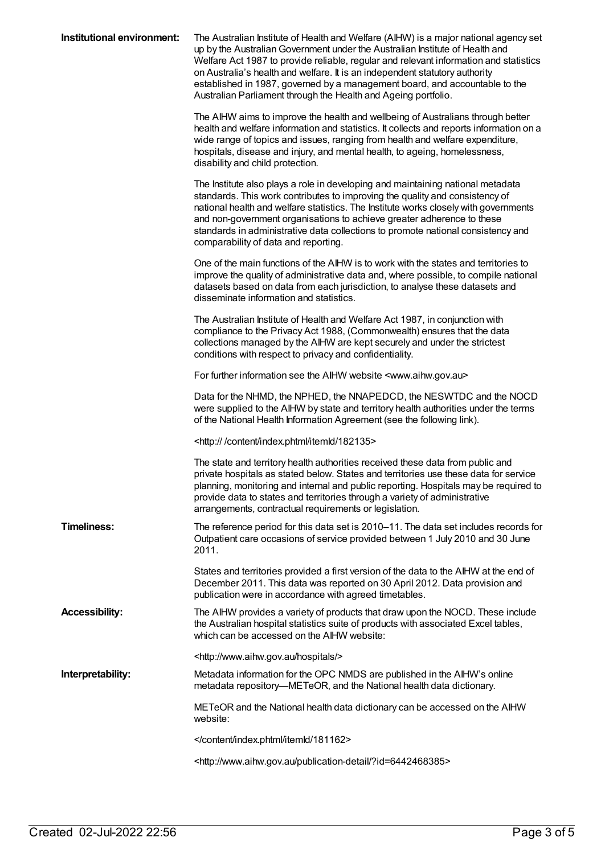| Institutional environment: | The Australian Institute of Health and Welfare (AIHW) is a major national agency set<br>up by the Australian Government under the Australian Institute of Health and<br>Welfare Act 1987 to provide reliable, regular and relevant information and statistics<br>on Australia's health and welfare. It is an independent statutory authority<br>established in 1987, governed by a management board, and accountable to the<br>Australian Parliament through the Health and Ageing portfolio. |
|----------------------------|-----------------------------------------------------------------------------------------------------------------------------------------------------------------------------------------------------------------------------------------------------------------------------------------------------------------------------------------------------------------------------------------------------------------------------------------------------------------------------------------------|
|                            | The AIHW aims to improve the health and wellbeing of Australians through better<br>health and welfare information and statistics. It collects and reports information on a<br>wide range of topics and issues, ranging from health and welfare expenditure,<br>hospitals, disease and injury, and mental health, to ageing, homelessness,<br>disability and child protection.                                                                                                                 |
|                            | The Institute also plays a role in developing and maintaining national metadata<br>standards. This work contributes to improving the quality and consistency of<br>national health and welfare statistics. The Institute works closely with governments<br>and non-government organisations to achieve greater adherence to these<br>standards in administrative data collections to promote national consistency and<br>comparability of data and reporting.                                 |
|                            | One of the main functions of the AIHW is to work with the states and territories to<br>improve the quality of administrative data and, where possible, to compile national<br>datasets based on data from each jurisdiction, to analyse these datasets and<br>disseminate information and statistics.                                                                                                                                                                                         |
|                            | The Australian Institute of Health and Welfare Act 1987, in conjunction with<br>compliance to the Privacy Act 1988, (Commonwealth) ensures that the data<br>collections managed by the AIHW are kept securely and under the strictest<br>conditions with respect to privacy and confidentiality.                                                                                                                                                                                              |
|                            | For further information see the AIHW website <www.aihw.gov.au></www.aihw.gov.au>                                                                                                                                                                                                                                                                                                                                                                                                              |
|                            | Data for the NHMD, the NPHED, the NNAPEDCD, the NESWTDC and the NOCD<br>were supplied to the AIHW by state and territory health authorities under the terms<br>of the National Health Information Agreement (see the following link).                                                                                                                                                                                                                                                         |
|                            | <http: 182135="" content="" index.phtml="" itemld=""></http:>                                                                                                                                                                                                                                                                                                                                                                                                                                 |
|                            | The state and territory health authorities received these data from public and<br>private hospitals as stated below. States and territories use these data for service<br>planning, monitoring and internal and public reporting. Hospitals may be required to<br>provide data to states and territories through a variety of administrative<br>arrangements, contractual requirements or legislation.                                                                                        |
| <b>Timeliness:</b>         | The reference period for this data set is 2010–11. The data set includes records for<br>Outpatient care occasions of service provided between 1 July 2010 and 30 June<br>2011.                                                                                                                                                                                                                                                                                                                |
|                            | States and territories provided a first version of the data to the AIHW at the end of<br>December 2011. This data was reported on 30 April 2012. Data provision and<br>publication were in accordance with agreed timetables.                                                                                                                                                                                                                                                                 |
| <b>Accessibility:</b>      | The AIHW provides a variety of products that draw upon the NOCD. These include<br>the Australian hospital statistics suite of products with associated Excel tables,<br>which can be accessed on the AIHW website:                                                                                                                                                                                                                                                                            |
|                            | <http: hospitals="" www.aihw.gov.au=""></http:>                                                                                                                                                                                                                                                                                                                                                                                                                                               |
| Interpretability:          | Metadata information for the OPC NMDS are published in the AIHW's online<br>metadata repository—METeOR, and the National health data dictionary.                                                                                                                                                                                                                                                                                                                                              |
|                            | METeOR and the National health data dictionary can be accessed on the AIHW<br>website:                                                                                                                                                                                                                                                                                                                                                                                                        |
|                            |                                                                                                                                                                                                                                                                                                                                                                                                                                                                                               |
|                            | <http: ?id="6442468385" publication-detail="" www.aihw.gov.au=""></http:>                                                                                                                                                                                                                                                                                                                                                                                                                     |